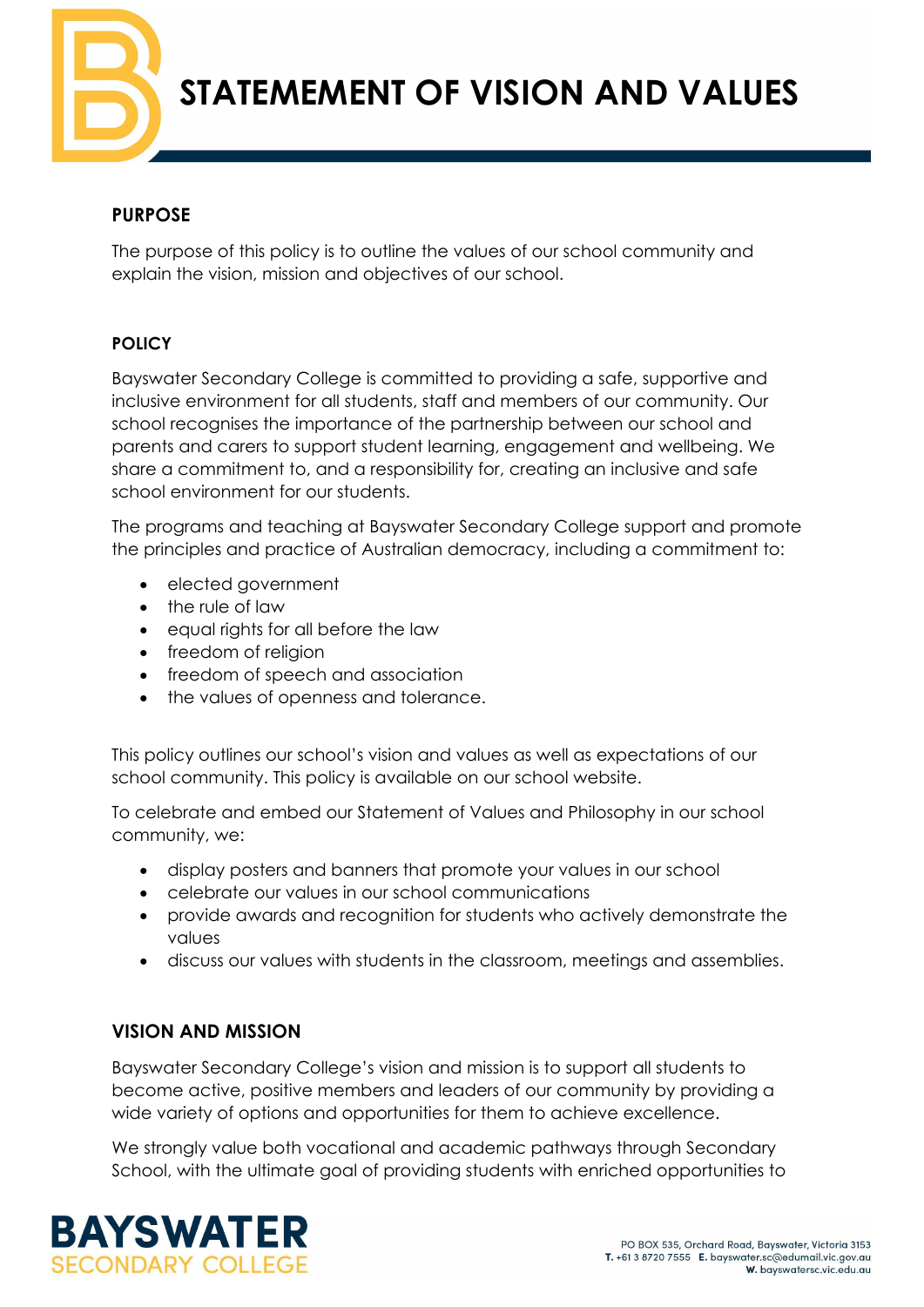**STATEMEMENT OF VISION AND VALUES**

## **PURPOSE**

The purpose of this policy is to outline the values of our school community and explain the vision, mission and objectives of our school.

### **POLICY**

Bayswater Secondary College is committed to providing a safe, supportive and inclusive environment for all students, staff and members of our community. Our school recognises the importance of the partnership between our school and parents and carers to support student learning, engagement and wellbeing. We share a commitment to, and a responsibility for, creating an inclusive and safe school environment for our students.

The programs and teaching at Bayswater Secondary College support and promote the principles and practice of Australian democracy, including a commitment to:

- elected government
- the rule of law
- equal rights for all before the law
- freedom of religion
- freedom of speech and association
- the values of openness and tolerance.

This policy outlines our school's vision and values as well as expectations of our school community. This policy is available on our school website.

To celebrate and embed our Statement of Values and Philosophy in our school community, we:

- display posters and banners that promote your values in our school
- celebrate our values in our school communications
- provide awards and recognition for students who actively demonstrate the values
- discuss our values with students in the classroom, meetings and assemblies.

# **VISION AND MISSION**

Bayswater Secondary College's vision and mission is to support all students to become active, positive members and leaders of our community by providing a wide variety of options and opportunities for them to achieve excellence.

We strongly value both vocational and academic pathways through Secondary School, with the ultimate goal of providing students with enriched opportunities to

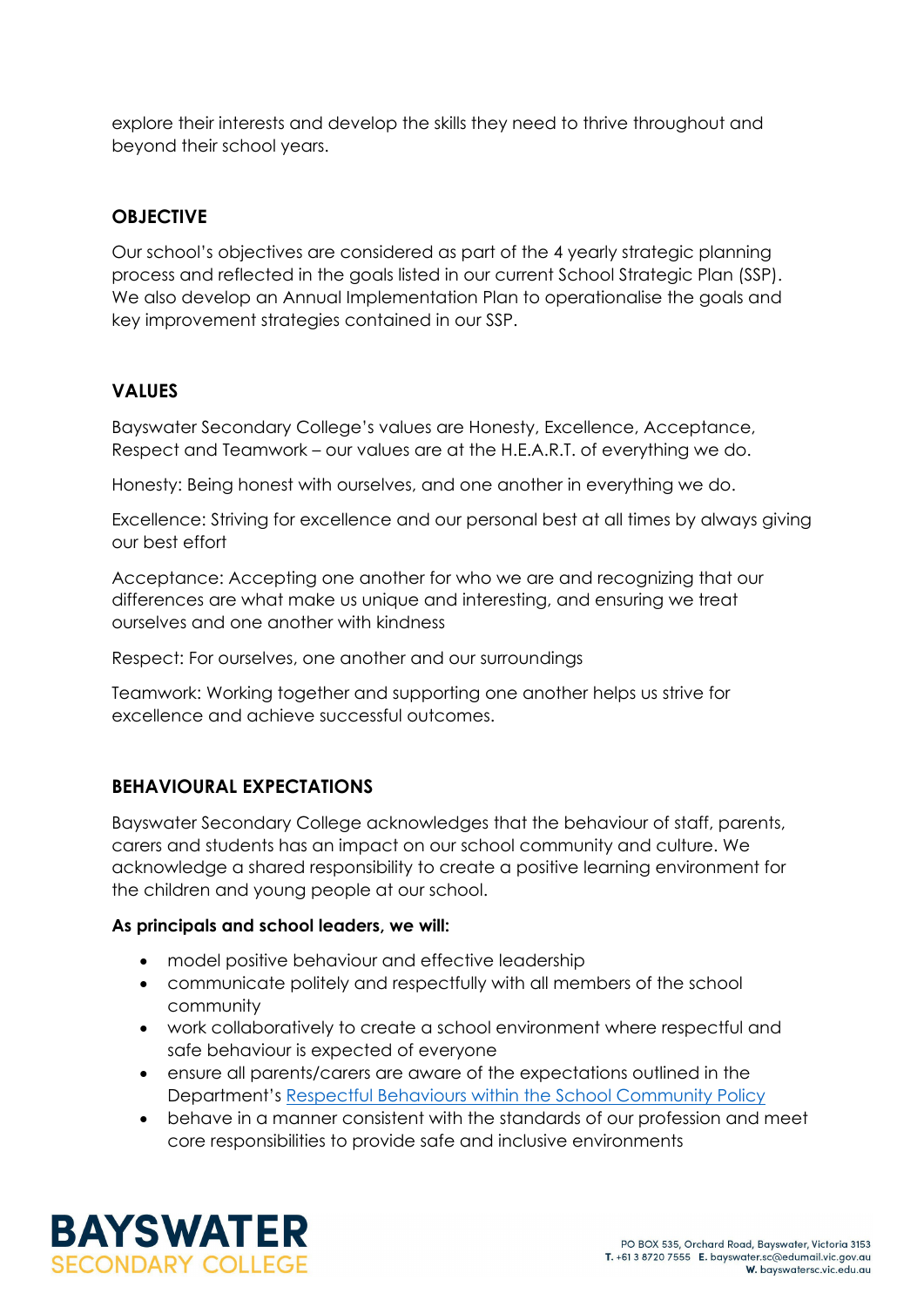explore their interests and develop the skills they need to thrive throughout and beyond their school years.

## **OBJECTIVE**

Our school's objectives are considered as part of the 4 yearly strategic planning process and reflected in the goals listed in our current School Strategic Plan (SSP). We also develop an Annual Implementation Plan to operationalise the goals and key improvement strategies contained in our SSP.

## **VALUES**

Bayswater Secondary College's values are Honesty, Excellence, Acceptance, Respect and Teamwork – our values are at the H.E.A.R.T. of everything we do.

Honesty: Being honest with ourselves, and one another in everything we do.

Excellence: Striving for excellence and our personal best at all times by always giving our best effort

Acceptance: Accepting one another for who we are and recognizing that our differences are what make us unique and interesting, and ensuring we treat ourselves and one another with kindness

Respect: For ourselves, one another and our surroundings

Teamwork: Working together and supporting one another helps us strive for excellence and achieve successful outcomes.

# **BEHAVIOURAL EXPECTATIONS**

Bayswater Secondary College acknowledges that the behaviour of staff, parents, carers and students has an impact on our school community and culture. We acknowledge a shared responsibility to create a positive learning environment for the children and young people at our school.

#### **As principals and school leaders, we will:**

- model positive behaviour and effective leadership
- communicate politely and respectfully with all members of the school community
- work collaboratively to create a school environment where respectful and safe behaviour is expected of everyone
- ensure all parents/carers are aware of the expectations outlined in the Department's [Respectful Behaviours within the School Community Policy](https://www.education.vic.gov.au/Pages/Respectful-Behaviours-within-the-School-Community-Policy.aspx)
- behave in a manner consistent with the standards of our profession and meet core responsibilities to provide safe and inclusive environments

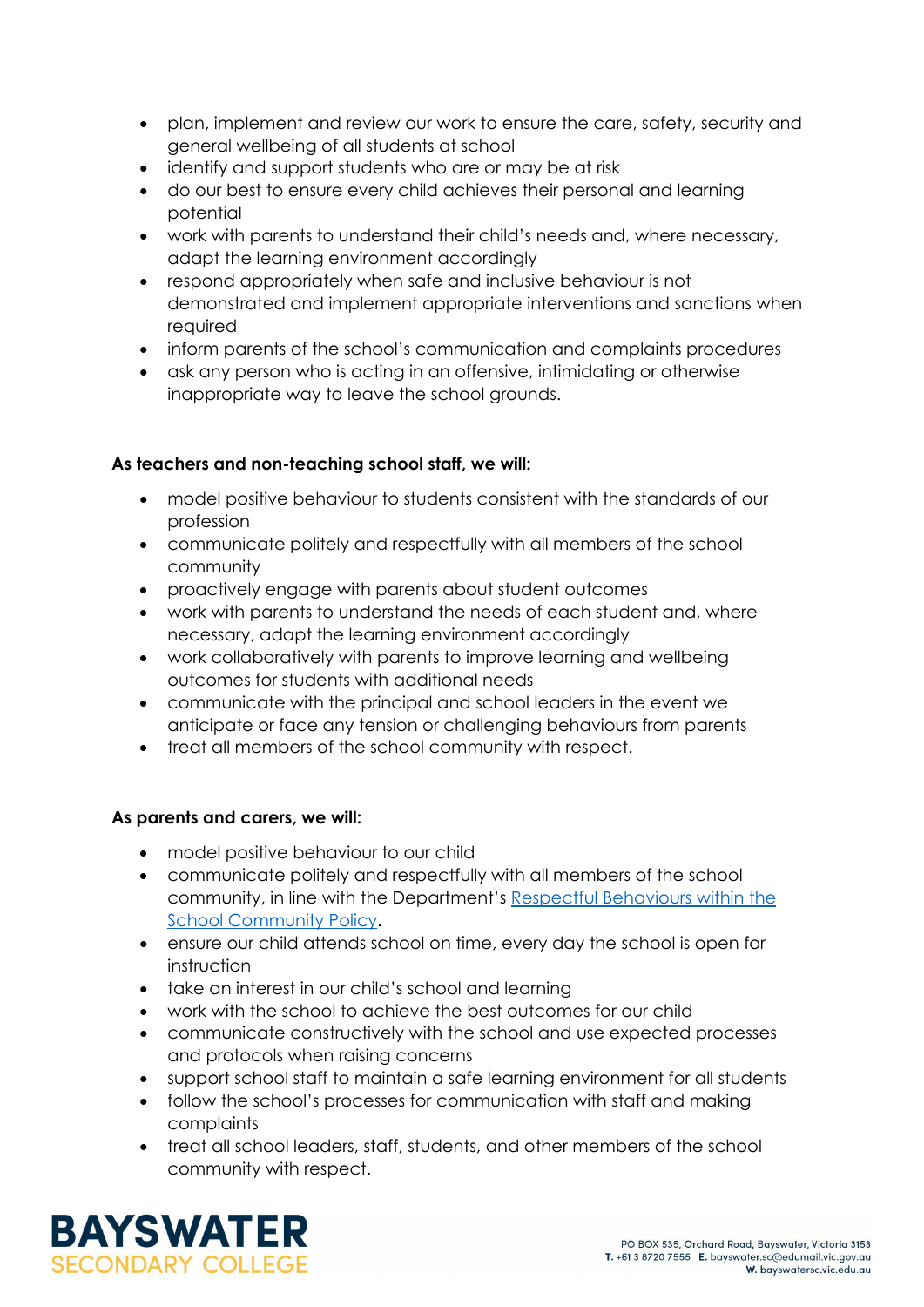- plan, implement and review our work to ensure the care, safety, security and general wellbeing of all students at school
- identify and support students who are or may be at risk
- do our best to ensure every child achieves their personal and learning potential
- work with parents to understand their child's needs and, where necessary, adapt the learning environment accordingly
- respond appropriately when safe and inclusive behaviour is not demonstrated and implement appropriate interventions and sanctions when required
- inform parents of the school's communication and complaints procedures
- ask any person who is acting in an offensive, intimidating or otherwise inappropriate way to leave the school grounds.

### **As teachers and non-teaching school staff, we will:**

- model positive behaviour to students consistent with the standards of our profession
- communicate politely and respectfully with all members of the school community
- proactively engage with parents about student outcomes
- work with parents to understand the needs of each student and, where necessary, adapt the learning environment accordingly
- work collaboratively with parents to improve learning and wellbeing outcomes for students with additional needs
- communicate with the principal and school leaders in the event we anticipate or face any tension or challenging behaviours from parents
- treat all members of the school community with respect.

### **As parents and carers, we will:**

- model positive behaviour to our child
- communicate politely and respectfully with all members of the school community, in line with the Department's [Respectful Behaviours within the](https://www.education.vic.gov.au/Pages/Respectful-Behaviours-within-the-School-Community-Policy.aspx)  [School Community Policy.](https://www.education.vic.gov.au/Pages/Respectful-Behaviours-within-the-School-Community-Policy.aspx)
- ensure our child attends school on time, every day the school is open for instruction
- take an interest in our child's school and learning
- work with the school to achieve the best outcomes for our child
- communicate constructively with the school and use expected processes and protocols when raising concerns
- support school staff to maintain a safe learning environment for all students
- follow the school's processes for communication with staff and making complaints
- treat all school leaders, staff, students, and other members of the school community with respect.

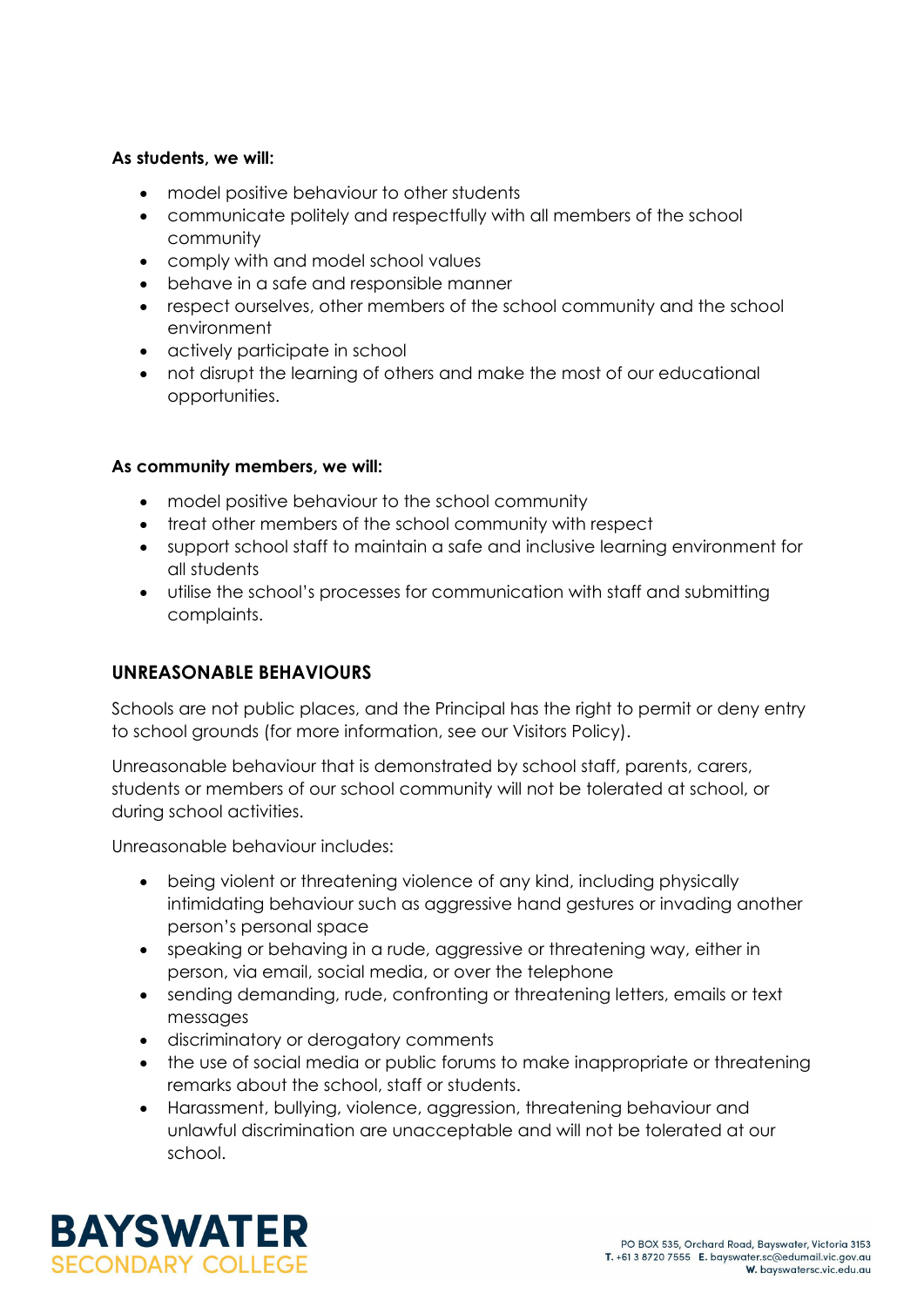#### **As students, we will:**

- model positive behaviour to other students
- communicate politely and respectfully with all members of the school community
- comply with and model school values
- behave in a safe and responsible manner
- respect ourselves, other members of the school community and the school environment
- actively participate in school
- not disrupt the learning of others and make the most of our educational opportunities.

### **As community members, we will:**

- model positive behaviour to the school community
- treat other members of the school community with respect
- support school staff to maintain a safe and inclusive learning environment for all students
- utilise the school's processes for communication with staff and submitting complaints.

### **UNREASONABLE BEHAVIOURS**

Schools are not public places, and the Principal has the right to permit or deny entry to school grounds (for more information, see our Visitors Policy).

Unreasonable behaviour that is demonstrated by school staff, parents, carers, students or members of our school community will not be tolerated at school, or during school activities.

Unreasonable behaviour includes:

- being violent or threatening violence of any kind, including physically intimidating behaviour such as aggressive hand gestures or invading another person's personal space
- speaking or behaving in a rude, aggressive or threatening way, either in person, via email, social media, or over the telephone
- sending demanding, rude, confronting or threatening letters, emails or text messages
- discriminatory or derogatory comments
- the use of social media or public forums to make inappropriate or threatening remarks about the school, staff or students.
- Harassment, bullying, violence, aggression, threatening behaviour and unlawful discrimination are unacceptable and will not be tolerated at our school.

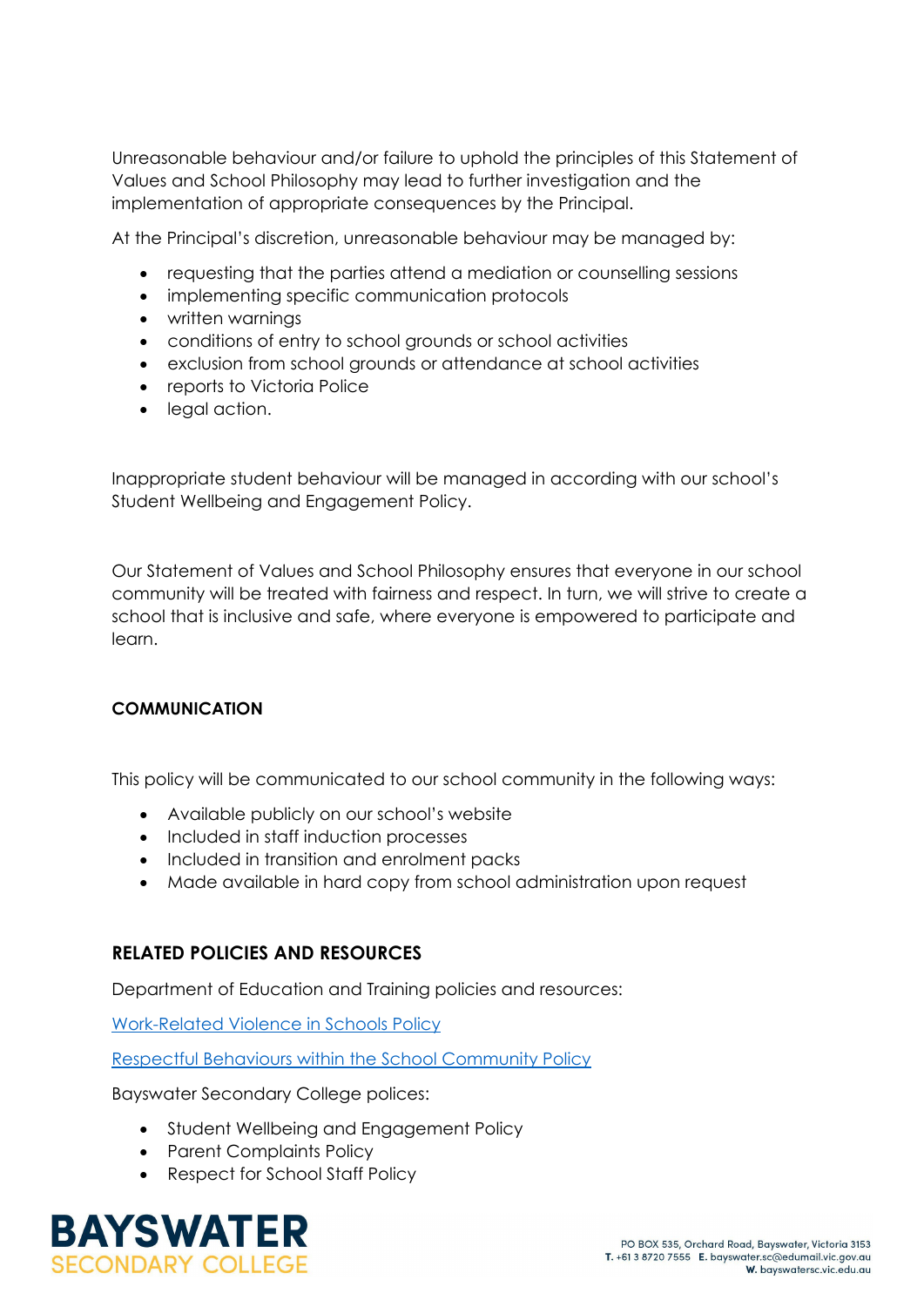Unreasonable behaviour and/or failure to uphold the principles of this Statement of Values and School Philosophy may lead to further investigation and the implementation of appropriate consequences by the Principal.

At the Principal's discretion, unreasonable behaviour may be managed by:

- requesting that the parties attend a mediation or counselling sessions
- implementing specific communication protocols
- written warnings
- conditions of entry to school grounds or school activities
- exclusion from school grounds or attendance at school activities
- reports to Victoria Police
- legal action.

Inappropriate student behaviour will be managed in according with our school's Student Wellbeing and Engagement Policy.

Our Statement of Values and School Philosophy ensures that everyone in our school community will be treated with fairness and respect. In turn, we will strive to create a school that is inclusive and safe, where everyone is empowered to participate and learn.

#### **COMMUNICATION**

This policy will be communicated to our school community in the following ways:

- Available publicly on our school's website
- Included in staff induction processes
- Included in transition and enrolment packs
- Made available in hard copy from school administration upon request

#### **RELATED POLICIES AND RESOURCES**

Department of Education and Training policies and resources:

[Work-Related Violence in Schools Policy](https://www2.education.vic.gov.au/pal/work-related-violence-schools/policy)

[Respectful Behaviours within the School Community Policy](https://www.education.vic.gov.au/Pages/Respectful-Behaviours-within-the-School-Community-Policy.aspx)

Bayswater Secondary College polices:

- Student Wellbeing and Engagement Policy
- Parent Complaints Policy
- Respect for School Staff Policy